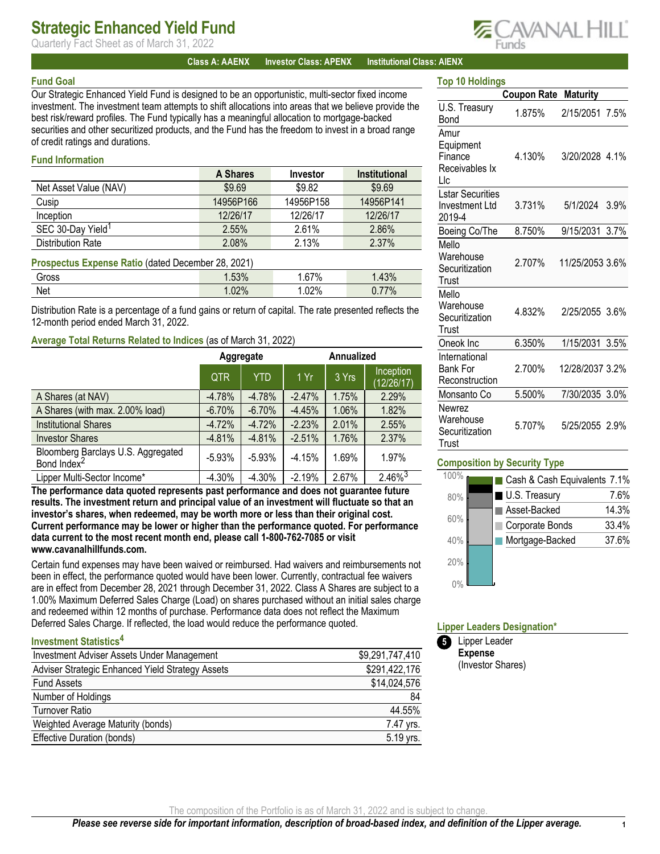## Strategic Enhanced Yield Fund

Quarterly Fact Sheet as of March 31, 2022

#### Class A: AAENX Investor Class: APENX Institutional Class: AIENX

#### Fund Goal

Our Strategic Enhanced Yield Fund is designed to be an opportunistic, multi-sector fixed income investment. The investment team attempts to shift allocations into areas that we believe provide the best risk/reward profiles. The Fund typically has a meaningful allocation to mortgage-backed securities and other securitized products, and the Fund has the freedom to invest in a broad range of credit ratings and durations.

## Fund Information

|                               | A Shares  | Investor  | <b>Institutional</b> |
|-------------------------------|-----------|-----------|----------------------|
| Net Asset Value (NAV)         | \$9.69    | \$9.82    | \$9.69               |
| Cusip                         | 14956P166 | 14956P158 | 14956P141            |
| Inception                     | 12/26/17  | 12/26/17  | 12/26/17             |
| SEC 30-Day Yield <sup>1</sup> | 2.55%     | 2.61%     | 2.86%                |
| <b>Distribution Rate</b>      | 2.08%     | 2.13%     | 2.37%                |

#### Prospectus Expense Ratio (dated December 28, 2021)

| .<br>__<br>.<br>. |                |                     |                              |
|-------------------|----------------|---------------------|------------------------------|
| Gross             | FOM<br>$.53\%$ | C70/<br>70<br>1.V I | 120/<br>4070                 |
| Net               | 000<br>87 N.U  | .02%                | 770/<br>$70^{\circ}$<br>v. 1 |

Distribution Rate is a percentage of a fund gains or return of capital. The rate presented reflects the 12-month period ended March 31, 2022.

### Average Total Returns Related to Indices (as of March 31, 2022)

|                                                               | Aggregate  |            | <b>Annualized</b> |       |                         |
|---------------------------------------------------------------|------------|------------|-------------------|-------|-------------------------|
|                                                               | <b>QTR</b> | <b>YTD</b> | 1 Yr $\sqrt{2}$   | 3 Yrs | Inception<br>(12/26/17) |
| A Shares (at NAV)                                             | $-4.78%$   | $-4.78%$   | $-2.47%$          | 1.75% | 2.29%                   |
| A Shares (with max. 2.00% load)                               | $-6.70%$   | $-6.70%$   | $-4.45%$          | 1.06% | 1.82%                   |
| <b>Institutional Shares</b>                                   | $-4.72%$   | $-4.72%$   | $-2.23%$          | 2.01% | 2.55%                   |
| <b>Investor Shares</b>                                        | $-4.81%$   | $-4.81%$   | $-2.51%$          | 1.76% | 2.37%                   |
| Bloomberg Barclays U.S. Aggregated<br>Bond Index <sup>2</sup> | $-5.93%$   | $-5.93%$   | $-4.15%$          | 1.69% | 1.97%                   |
| Lipper Multi-Sector Income*                                   | $-4.30%$   | $-4.30%$   | $-2.19%$          | 2.67% | $2.46\%$ <sup>3</sup>   |

The performance data quoted represents past performance and does not guarantee future results. The investment return and principal value of an investment will fluctuate so that an investor's shares, when redeemed, may be worth more or less than their original cost. Current performance may be lower or higher than the performance quoted. For performance data current to the most recent month end, please call 1-800-762-7085 or visit www.cavanalhillfunds.com.

Certain fund expenses may have been waived or reimbursed. Had waivers and reimbursements not been in effect, the performance quoted would have been lower. Currently, contractual fee waivers are in effect from December 28, 2021 through December 31, 2022. Class A Shares are subject to a 1.00% Maximum Deferred Sales Charge (Load) on shares purchased without an initial sales charge and redeemed within 12 months of purchase. Performance data does not reflect the Maximum Deferred Sales Charge. If reflected, the load would reduce the performance quoted.

# Investment Statistics 4

| Investment Adviser Assets Under Management       | \$9,291,747,410 |
|--------------------------------------------------|-----------------|
| Adviser Strategic Enhanced Yield Strategy Assets | \$291,422,176   |
| <b>Fund Assets</b>                               | \$14,024,576    |
| Number of Holdings                               | 84              |
| <b>Turnover Ratio</b>                            | 44.55%          |
| Weighted Average Maturity (bonds)                | 7.47 yrs.       |
| Effective Duration (bonds)                       | 5.19 yrs.       |

|                                                        | <b>Coupon Rate</b> | <b>Maturity</b>   |
|--------------------------------------------------------|--------------------|-------------------|
| U.S. Treasury<br>Bond                                  | 1.875%             | 2/15/2051 7.5%    |
| Amur<br>Equipment<br>Finance<br>Receivables Ix<br>l lc | 4.130%             | 3/20/2028 4.1%    |
| <b>Lstar Securities</b><br>Investment Ltd<br>2019-4    | 3.731%             | 5/1/2024 3.9%     |
| Boeing Co/The                                          | 8.750%             | 9/15/2031<br>3.7% |
| Mello<br>Warehouse<br>Securitization<br>Trust          | 2.707%             | 11/25/2053 3.6%   |
| Mello<br>Warehouse<br>Securitization<br>Trust          | 4.832%             | 2/25/2055 3.6%    |
| Oneok Inc                                              | 6.350%             | 1/15/2031 3.5%    |
| International<br>Bank For<br>Reconstruction            | 2.700%             | 12/28/2037 3.2%   |
| Monsanto Co                                            | 5.500%             | 7/30/2035 3.0%    |
| Newrez<br>Warehouse<br>Securitization<br>Trust         | 5.707%             | 5/25/2055 2.9%    |

## Composition by Security Type

| 100% | Cash & Cash Equivalents 7.1% |       |
|------|------------------------------|-------|
| 80%  | U.S. Treasury                | 7.6%  |
|      | Asset-Backed                 | 14.3% |
| 60%  | Corporate Bonds              | 33.4% |
| 40%  | Mortgage-Backed              | 37.6% |
| 20%  |                              |       |
|      |                              |       |

#### Lipper Leaders Designation\*



The composition of the Portfolio is as of March 31, 2022 and is subject to change.



Top 10 Holdings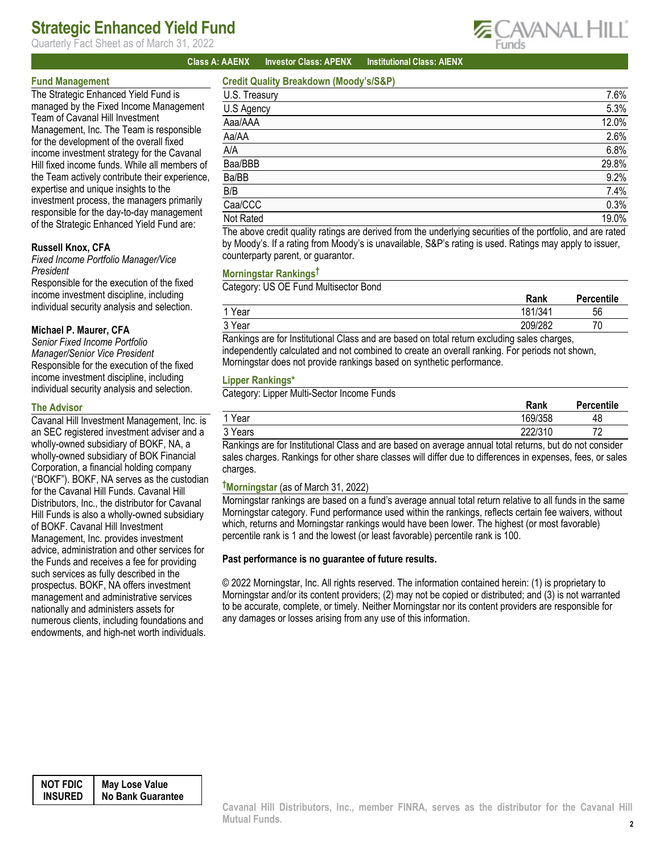## Strategic Enhanced Yield Fund

Quarterly Fact Sheet as of March 31, 2022



### Class A: AAENX Investor Class: APENX Institutional Class: AIENX

### Fund Management

The Strategic Enhanced Yield Fund is managed by the Fixed Income Management Team of Cavanal Hill Investment Management, Inc. The Team is responsible for the development of the overall fixed income investment strategy for the Cavanal Hill fixed income funds. While all members of the Team actively contribute their experience, expertise and unique insights to the investment process, the managers primarily responsible for the day-to-day management of the Strategic Enhanced Yield Fund are:

### Russell Knox, CFA

Fixed Income Portfolio Manager/Vice President

Responsible for the execution of the fixed income investment discipline, including individual security analysis and selection.

#### Michael P. Maurer, CFA

Senior Fixed Income Portfolio Manager/Senior Vice President Responsible for the execution of the fixed income investment discipline, including individual security analysis and selection.

#### The Advisor

Cavanal Hill Investment Management, Inc. is an SEC registered investment adviser and a wholly-owned subsidiary of BOKF, NA, a wholly-owned subsidiary of BOK Financial Corporation, a financial holding company ("BOKF"). BOKF, NA serves as the custodian for the Cavanal Hill Funds. Cavanal Hill Distributors, Inc., the distributor for Cavanal Hill Funds is also a wholly-owned subsidiary of BOKF. Cavanal Hill Investment Management, Inc. provides investment advice, administration and other services for the Funds and receives a fee for providing such services as fully described in the prospectus. BOKF, NA offers investment management and administrative services nationally and administers assets for numerous clients, including foundations and endowments, and high-net worth individuals.

## Credit Quality Breakdown (Moody's/S&P)

| U.S. Treasury                                                   | 7.6%                                                                                                                                                                                                                              |
|-----------------------------------------------------------------|-----------------------------------------------------------------------------------------------------------------------------------------------------------------------------------------------------------------------------------|
| U.S Agency                                                      | 5.3%                                                                                                                                                                                                                              |
| Aaa/AAA                                                         | 12.0%                                                                                                                                                                                                                             |
| Aa/AA                                                           | 2.6%                                                                                                                                                                                                                              |
| A/A                                                             | 6.8%                                                                                                                                                                                                                              |
| Baa/BBB                                                         | 29.8%                                                                                                                                                                                                                             |
| Ba/BB                                                           | 9.2%                                                                                                                                                                                                                              |
| B/B                                                             | 7.4%                                                                                                                                                                                                                              |
| Caa/CCC                                                         | 0.3%                                                                                                                                                                                                                              |
| Not Rated                                                       | 19.0%                                                                                                                                                                                                                             |
| 그는 그 아이들에게 아이들이 아이들이 아이들이 없었다. 그 아이들은 아이들에게 아이들이 아이들이 아이들이 없었다. | $\mathbf{r}$ , and the contract of the contract of the contract of the contract of the contract of the contract of the contract of the contract of the contract of the contract of the contract of the contract of the contract o |

The above credit quality ratings are derived from the underlying securities of the portfolio, and are rated by Moody's. If a rating from Moody's is unavailable, S&P's rating is used. Ratings may apply to issuer, counterparty parent, or guarantor.

#### Morningstar Rankings†

Category: US OE Fund Multisector Bond

|                   | Rank          | Percentile |
|-------------------|---------------|------------|
| Year              | 181/341       | 56         |
| <sup>2</sup> Year | 209/282       | 70<br>υ    |
| $\sim$<br>- -<br> | $\cdots$<br>. |            |

Rankings are for Institutional Class and are based on total return excluding sales charges, independently calculated and not combined to create an overall ranking. For periods not shown, Morningstar does not provide rankings based on synthetic performance.

#### Lipper Rankings\*

Category: Lipper Multi-Sector Income Funds

| __<br>_______             | Rank        | Percentile     |
|---------------------------|-------------|----------------|
| 1 Year                    | 169/358     | 48             |
| <sup>2</sup> Years        | 222/310     | 70<br><u>.</u> |
| .<br>_ _<br>$\sim$ $\sim$ | .<br>$\sim$ |                |

Rankings are for Institutional Class and are based on average annual total returns, but do not consider sales charges. Rankings for other share classes will differ due to differences in expenses, fees, or sales charges.

## †Morningstar (as of March 31, 2022)

Morningstar rankings are based on a fund's average annual total return relative to all funds in the same Morningstar category. Fund performance used within the rankings, reflects certain fee waivers, without which, returns and Morningstar rankings would have been lower. The highest (or most favorable) percentile rank is 1 and the lowest (or least favorable) percentile rank is 100.

#### Past performance is no guarantee of future results.

© 2022 Morningstar, Inc. All rights reserved. The information contained herein: (1) is proprietary to Morningstar and/or its content providers; (2) may not be copied or distributed; and (3) is not warranted to be accurate, complete, or timely. Neither Morningstar nor its content providers are responsible for any damages or losses arising from any use of this information.